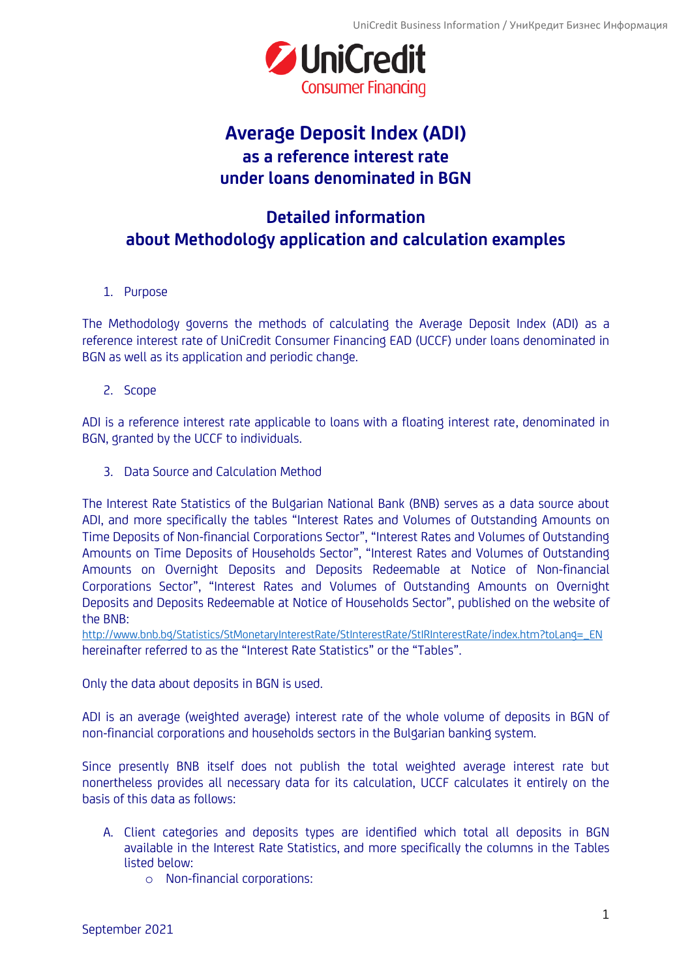

## **Average Deposit Index (ADI) as a reference interest rate under loans denominated in BGN**

## **Detailed information about Methodology application and calculation examples**

1. Purpose

The Methodology governs the methods of calculating the Average Deposit Index (ADI) as a reference interest rate of UniCredit Consumer Financing EAD (UCCF) under loans denominated in BGN as well as its application and periodic change.

2. Scope

ADI is a reference interest rate applicable to loans with a floating interest rate, denominated in BGN, granted by the UCCF to individuals.

3. Data Source and Calculation Method

The Interest Rate Statistics of the Bulgarian National Bank (BNB) serves as a data source about ADI, and more specifically the tables "Interest Rates and Volumes of Outstanding Amounts оn Time Deposits of Non-financial Corporations Sector", "Interest Rates and Volumes of Outstanding Amounts оn Time Deposits of Households Sector", "Interest Rates and Volumes of Outstanding Amounts оn Overnight Deposits and Deposits Redeemable at Notice of Non-financial Corporations Sector", "Interest Rates and Volumes of Outstanding Amounts оn Overnight Deposits and Deposits Redeemable at Notice of Households Sector", published on the website of the BNB:

[http://www.bnb.bg/Statistics/StMonetaryInterestRate/StInterestRate/StIRInterestRate/index.htm?toLang=\\_EN](http://www.bnb.bg/Statistics/StMonetaryInterestRate/StInterestRate/StIRInterestRate/index.htm) hereinafter referred to as the "Interest Rate Statistics" or the "Tables".

Only the data about deposits in BGN is used.

ADI is an average (weighted average) interest rate of the whole volume of deposits in BGN of non-financial corporations and households sectors in the Bulgarian banking system.

Since presently BNB itself does not publish the total weighted average interest rate but nonertheless provides all necessary data for its calculation, UCCF calculates it entirely on the basis of this data as follows:

- A. Client categories and deposits types are identified which total all deposits in BGN available in the Interest Rate Statistics, and more specifically the columns in the Tables listed below:
	- o Non-financial corporations: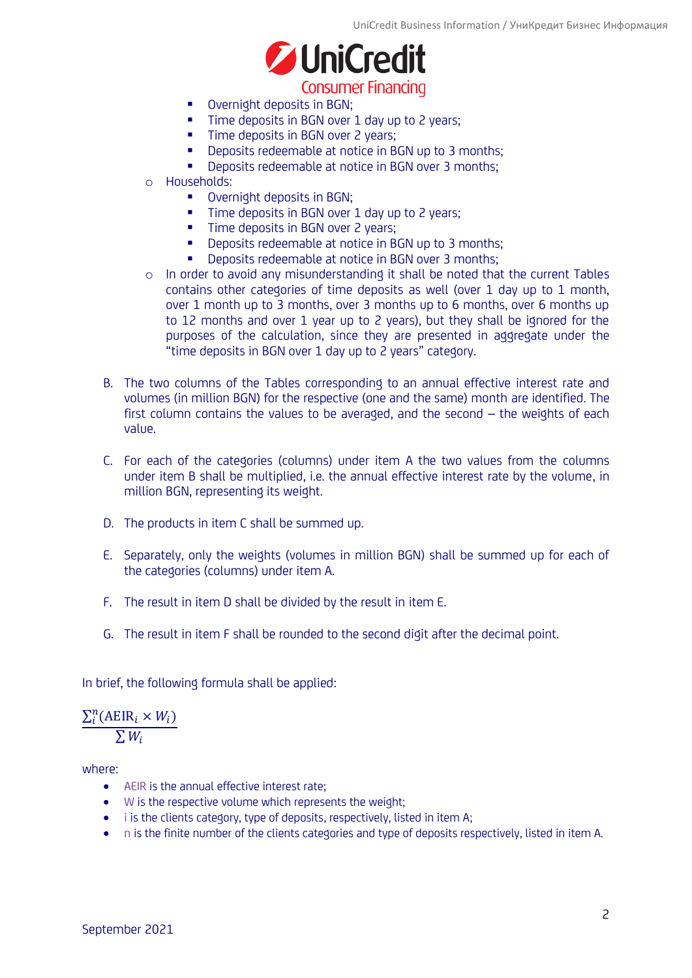

- Overnight deposits in BGN;
- **Time deposits in BGN over 1 day up to 2 years;**
- **Time deposits in BGN over 2 years:**
- Deposits redeemable at notice in BGN up to 3 months;
- Deposits redeemable at notice in BGN over 3 months;
- o Households:
	- **•** Overnight deposits in BGN;
	- Time deposits in BGN over 1 day up to 2 years:
	- **Time deposits in BGN over 2 years;**
	- Deposits redeemable at notice in BGN up to 3 months;
	- **Deposits redeemable at notice in BGN over 3 months;**
- o In order to avoid any misunderstanding it shall be noted that the current Tables contains other categories of time deposits as well (over 1 day up to 1 month, over 1 month up to 3 months, over 3 months up to 6 months, over 6 months up to 12 months and over 1 year up to 2 years), but they shall be ignored for the purposes of the calculation, since they are presented in aggregate under the "time deposits in BGN over 1 day up to 2 years" category.
- B. The two columns of the Tables corresponding to an annual effective interest rate and volumes (in million BGN) for the respective (one and the same) month are identified. The first column contains the values to be averaged, and the second – the weights of each value.
- C. For each of the categories (columns) under item A the two values from the columns under item B shall be multiplied, i.e. the annual effective interest rate by the volume, in million BGN, representing its weight.
- D. The products in item C shall be summed up.
- E. Separately, only the weights (volumes in million BGN) shall be summed up for each of the categories (columns) under item A.
- F. The result in item D shall be divided by the result in item E.
- G. The result in item F shall be rounded to the second digit after the decimal point.

In brief, the following formula shall be applied:

 $\sum_{i}^{n}$ (AEIR<sub>i</sub> ×  $W_i$ )  $\overline{\sum W_i}$ 

where:

- AEIR is the annual effective interest rate;
- W is the respective volume which represents the weight;
- i is the clients category, type of deposits, respectively, listed in item A;
- n is the finite number of the clients categories and type of deposits respectively, listed in item A.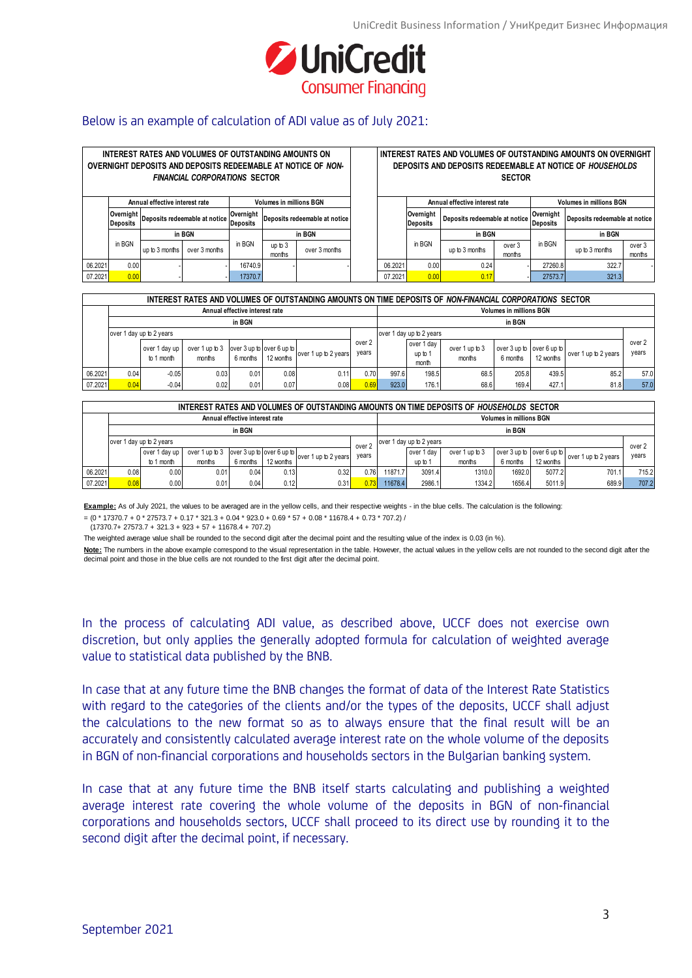

## Below is an example of calculation of ADI value as of July 2021:

| INTEREST RATES AND VOLUMES OF OUTSTANDING AMOUNTS ON<br>OVERNIGHT DEPOSITS AND DEPOSITS REDEEMABLE AT NOTICE OF NON-<br><b>FINANCIAL CORPORATIONS SECTOR</b> |                                                                  |                |               |                              |                               |               |  | INTEREST RATES AND VOLUMES OF OUTSTANDING AMOUNTS ON OVERNIGHT<br>DEPOSITS AND DEPOSITS REDEEMABLE AT NOTICE OF HOUSEHOLDS<br><b>SECTOR</b> |                                                                  |                |                              |                               |                |                  |
|--------------------------------------------------------------------------------------------------------------------------------------------------------------|------------------------------------------------------------------|----------------|---------------|------------------------------|-------------------------------|---------------|--|---------------------------------------------------------------------------------------------------------------------------------------------|------------------------------------------------------------------|----------------|------------------------------|-------------------------------|----------------|------------------|
|                                                                                                                                                              | Annual effective interest rate<br><b>Volumes in millions BGN</b> |                |               |                              |                               |               |  |                                                                                                                                             | Annual effective interest rate<br><b>Volumes in millions BGN</b> |                |                              |                               |                |                  |
|                                                                                                                                                              | Overnight<br>Deposits redeemable at notice<br><b>Deposits</b>    |                |               | Overnight<br><b>Deposits</b> | Deposits redeemable at notice |               |  | Overnight<br><b>Deposits</b>                                                                                                                | Deposits redeemable at notice                                    |                | Overnight<br><b>Deposits</b> | Deposits redeemable at notice |                |                  |
|                                                                                                                                                              | in BGN                                                           |                |               |                              | in BGN                        |               |  |                                                                                                                                             |                                                                  | in BGN         |                              |                               | in BGN         |                  |
|                                                                                                                                                              | in BGN                                                           | up to 3 months | over 3 months | in BGN                       | up to 3<br>months             | over 3 months |  |                                                                                                                                             | in BGN                                                           | up to 3 months | over 3<br>months             | in BGN                        | up to 3 months | over 3<br>months |
| 06.2021                                                                                                                                                      | 0.00                                                             |                |               | 16740.9                      |                               |               |  | 06.202                                                                                                                                      | 0.00                                                             | 0.24           |                              | 27260.8                       | 322.7          |                  |
| 07.2021                                                                                                                                                      | 0.00                                                             |                |               | 17370.7                      |                               |               |  | 07.2021                                                                                                                                     | 0.00                                                             | 0.17           |                              | 27573.7                       | 321.3          |                  |

|         | INTEREST RATES AND VOLUMES OF OUTSTANDING AMOUNTS ON TIME DEPOSITS OF NON-FINANCIAL CORPORATIONS SECTOR |                             |                          |                                |                           |                                 |                                |       |                               |                          |                                       |           |                      |                 |  |  |  |
|---------|---------------------------------------------------------------------------------------------------------|-----------------------------|--------------------------|--------------------------------|---------------------------|---------------------------------|--------------------------------|-------|-------------------------------|--------------------------|---------------------------------------|-----------|----------------------|-----------------|--|--|--|
|         |                                                                                                         |                             |                          | Annual effective interest rate |                           |                                 | <b>Volumes in millions BGN</b> |       |                               |                          |                                       |           |                      |                 |  |  |  |
|         | in BGN                                                                                                  |                             |                          |                                |                           |                                 |                                |       |                               | in BGN                   |                                       |           |                      |                 |  |  |  |
|         | over 1 day up to 2 years                                                                                |                             |                          |                                |                           |                                 |                                |       | over 1 day up to 2 years      |                          |                                       |           |                      |                 |  |  |  |
|         |                                                                                                         | over 1 day up<br>to 1 month | over 1 up to 3<br>months | 6 months                       | over 3 up to over 6 up to | 12 Months over 1 up to 2 years! | over 2<br>years                |       | over 1 day<br>up to'<br>month | over 1 up to 3<br>months | over 3 up to over 6 up to<br>6 months | 12 months | over 1 up to 2 years | over 2<br>years |  |  |  |
| 06.2021 | 0.04                                                                                                    | $-0.05$                     | 0.03                     | 0.01                           | 0.08                      | 0.11                            | 0.70                           | 997.6 | 198.5                         | 68.5                     | 205.8                                 | 439.5     | 85.2                 | 57.0            |  |  |  |
| 07.2021 | 0.04                                                                                                    | $-0.04$                     | 0.02                     | 0.01                           | 0.07                      | 0.08                            | 0.69                           | 923.0 | 176.1                         | 68.6                     | 169.4                                 | 427.1     | 81.8                 | 57.0            |  |  |  |

|         | INTEREST RATES AND VOLUMES OF OUTSTANDING AMOUNTS ON TIME DEPOSITS OF HOUSEHOLDS SECTOR |                                                                                         |        |                                |           |                 |                                |                            |         |                      |          |           |       |       |  |  |
|---------|-----------------------------------------------------------------------------------------|-----------------------------------------------------------------------------------------|--------|--------------------------------|-----------|-----------------|--------------------------------|----------------------------|---------|----------------------|----------|-----------|-------|-------|--|--|
|         |                                                                                         |                                                                                         |        | Annual effective interest rate |           |                 | <b>Volumes in millions BGN</b> |                            |         |                      |          |           |       |       |  |  |
|         | in BGN                                                                                  |                                                                                         |        |                                |           |                 |                                |                            | in BGN  |                      |          |           |       |       |  |  |
|         | over 1 day up to 2 years                                                                |                                                                                         |        |                                |           |                 | over <sub>2</sub>              | over 1 day up to 2 years   |         | over 2               |          |           |       |       |  |  |
|         |                                                                                         | over 3 up to lover 6 up to l<br>over 1 up to 3<br>over 1 day up<br>over 1 up to 2 years |        | vears                          |           | l dav<br>over 1 | over 1 up to 3                 | over 3 up to lover 6 up to |         | over 1 up to 2 years | vears    |           |       |       |  |  |
|         |                                                                                         | to 1 month                                                                              | months | 6 months                       | 12 months |                 |                                |                            | up to 1 | months               | 6 months | 12 months |       |       |  |  |
| 06.2021 | 0.08                                                                                    | 0.00                                                                                    | 0.01   | 0.04                           | 0.131     | 0.32            | 0.76                           | 11871.7                    | 3091.4  | 1310.0               | 1692.0   | 5077.2    | 701.1 | 715.2 |  |  |
| 07.2021 | 0.08                                                                                    | 0.00                                                                                    | 0.01   | 0.04                           | 0.121     | 0.31            |                                | 1678.4                     | 2986.1  | 1334.2               | 1656.4   | 5011.9    | 689.9 | 707.2 |  |  |

**Example:** As of July 2021, the values to be averaged are in the yellow cells, and their respective weights - in the blue cells. The calculation is the following:

 $=(0 * 17370.7 + 0 * 27573.7 + 0.17 * 321.3 + 0.04 * 923.0 + 0.69 * 57 + 0.08 * 11678.4 + 0.73 * 707.2) /$ 

(17370.7+ 27573.7 + 321.3 + 923 + 57 + 11678.4 + 707.2)

The weighted average value shall be rounded to the second digit after the decimal point and the resulting value of the index is 0.03 (in %).

Note: The numbers in the above example correspond to the visual representation in the table. However, the actual values in the yellow cells are not rounded to the second digit after the decimal point and those in the blue cells are not rounded to the first digit after the decimal point.

In the process of calculating ADI value, as described above, UCCF does not exercise own discretion, but only applies the generally adopted formula for calculation of weighted average value to statistical data published by the BNB.

In case that at any future time the BNB changes the format of data of the Interest Rate Statistics with regard to the categories of the clients and/or the types of the deposits, UCCF shall adjust the calculations to the new format so as to always ensure that the final result will be an accurately and consistently calculated average interest rate on the whole volume of the deposits in BGN of non-financial corporations and households sectors in the Bulgarian banking system.

In case that at any future time the BNB itself starts calculating and publishing a weighted average interest rate covering the whole volume of the deposits in BGN of non-financial corporations and households sectors, UCCF shall proceed to its direct use by rounding it to the second digit after the decimal point, if necessary.